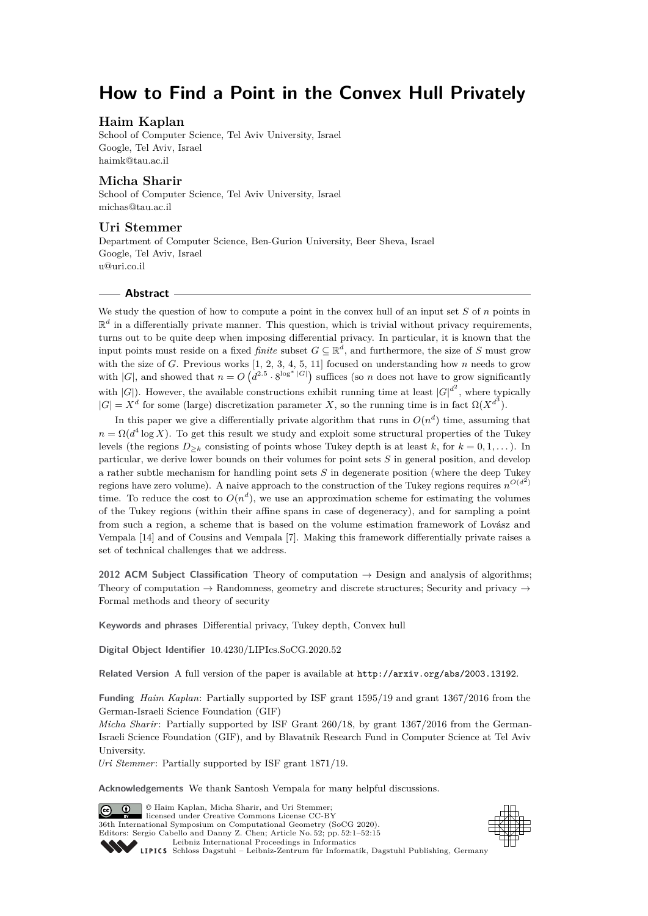# **How to Find a Point in the Convex Hull Privately**

# **Haim Kaplan**

School of Computer Science, Tel Aviv University, Israel Google, Tel Aviv, Israel [haimk@tau.ac.il](mailto:haimk@tau.ac.il)

# **Micha Sharir**

School of Computer Science, Tel Aviv University, Israel [michas@tau.ac.il](mailto:michas@tau.ac.il)

## **Uri Stemmer**

Department of Computer Science, Ben-Gurion University, Beer Sheva, Israel Google, Tel Aviv, Israel [u@uri.co.il](mailto:u@uri.co.il)

#### **Abstract**

We study the question of how to compute a point in the convex hull of an input set *S* of *n* points in  $\mathbb{R}^d$  in a differentially private manner. This question, which is trivial without privacy requirements, turns out to be quite deep when imposing differential privacy. In particular, it is known that the input points must reside on a fixed *finite* subset  $G \subseteq \mathbb{R}^d$ , and furthermore, the size of *S* must grow with the size of *G*. Previous works [\[1,](#page-13-0) [2,](#page-13-1) [3,](#page-13-2) [4,](#page-13-3) [5,](#page-13-4) [11\]](#page-14-0) focused on understanding how *n* needs to grow with |*G*|, and showed that  $n = O(d^{2.5} \cdot 8^{\log^* |G|})$  suffices (so *n* does not have to grow significantly with  $|G|$ ). However, the available constructions exhibit running time at least  $|G|^{d^2}$ , where typically  $|G| = X^d$  for some (large) discretization parameter *X*, so the running time is in fact  $\Omega(X^{d^3})$ .

In this paper we give a differentially private algorithm that runs in  $O(n^d)$  time, assuming that  $n = \Omega(d^4 \log X)$ . To get this result we study and exploit some structural properties of the Tukey levels (the regions  $D_{\geq k}$  consisting of points whose Tukey depth is at least  $k$ , for  $k = 0, 1, \ldots$ ). In particular, we derive lower bounds on their volumes for point sets *S* in general position, and develop a rather subtle mechanism for handling point sets *S* in degenerate position (where the deep Tukey regions have zero volume). A naive approach to the construction of the Tukey regions requires  $n^{O(d^2)}$ time. To reduce the cost to  $O(n^d)$ , we use an approximation scheme for estimating the volumes of the Tukey regions (within their affine spans in case of degeneracy), and for sampling a point from such a region, a scheme that is based on the volume estimation framework of Lovász and Vempala [\[14\]](#page-14-1) and of Cousins and Vempala [\[7\]](#page-13-5). Making this framework differentially private raises a set of technical challenges that we address.

**2012 ACM Subject Classification** Theory of computation → Design and analysis of algorithms; Theory of computation  $\rightarrow$  Randomness, geometry and discrete structures; Security and privacy  $\rightarrow$ Formal methods and theory of security

**Keywords and phrases** Differential privacy, Tukey depth, Convex hull

**Digital Object Identifier** [10.4230/LIPIcs.SoCG.2020.52](https://doi.org/10.4230/LIPIcs.SoCG.2020.52)

**Related Version** A full version of the paper is available at <http://arxiv.org/abs/2003.13192>.

**Funding** *Haim Kaplan*: Partially supported by ISF grant 1595/19 and grant 1367/2016 from the German-Israeli Science Foundation (GIF)

*Micha Sharir*: Partially supported by ISF Grant 260/18, by grant 1367/2016 from the German-Israeli Science Foundation (GIF), and by Blavatnik Research Fund in Computer Science at Tel Aviv University.

*Uri Stemmer*: Partially supported by ISF grant 1871/19.

**Acknowledgements** We thank Santosh Vempala for many helpful discussions.

© Haim Kaplan, Micha Sharir, and Uri Stemmer;  $\boxed{6}$  0 licensed under Creative Commons License CC-BY 36th International Symposium on Computational Geometry (SoCG 2020). Editors: Sergio Cabello and Danny Z. Chen; Article No. 52; pp. 52:1–52[:15](#page-14-2)



[Leibniz International Proceedings in Informatics](https://www.dagstuhl.de/lipics/) Leibniz international Froceedings in informatik, Dagstuhl Publishing, Germany<br>LIPICS [Schloss Dagstuhl – Leibniz-Zentrum für Informatik, Dagstuhl Publishing, Germany](https://www.dagstuhl.de)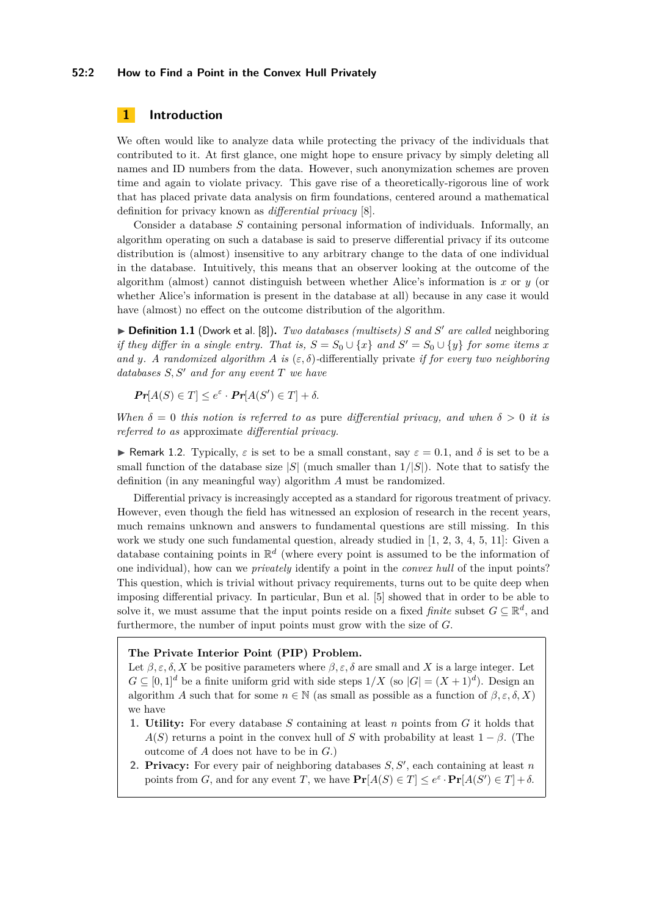#### **52:2 How to Find a Point in the Convex Hull Privately**

# **1 Introduction**

We often would like to analyze data while protecting the privacy of the individuals that contributed to it. At first glance, one might hope to ensure privacy by simply deleting all names and ID numbers from the data. However, such anonymization schemes are proven time and again to violate privacy. This gave rise of a theoretically-rigorous line of work that has placed private data analysis on firm foundations, centered around a mathematical definition for privacy known as *differential privacy* [\[8\]](#page-13-6).

Consider a database *S* containing personal information of individuals. Informally, an algorithm operating on such a database is said to preserve differential privacy if its outcome distribution is (almost) insensitive to any arbitrary change to the data of one individual in the database. Intuitively, this means that an observer looking at the outcome of the algorithm (almost) cannot distinguish between whether Alice's information is  $x$  or  $y$  (or whether Alice's information is present in the database at all) because in any case it would have (almost) no effect on the outcome distribution of the algorithm.

▶ **Definition 1.1** (Dwork et al. [\[8\]](#page-13-6)). *Two databases (multisets) S* and *S'* are called neighboring *if they differ in a single entry. That is,*  $S = S_0 \cup \{x\}$  *and*  $S' = S_0 \cup \{y\}$  *for some items x and y. A randomized algorithm A is* ( $\varepsilon$ ,  $\delta$ )-differentially private *if for every two neighboring*  $databases S, S' and for any event T we have$ 

 $Pr[A(S) \in T] \leq e^{\varepsilon} \cdot Pr[A(S') \in T] + \delta.$ 

*When*  $\delta = 0$  *this notion is referred to as* pure *differential privacy, and when*  $\delta > 0$  *it is referred to as* approximate *differential privacy.*

**F** Remark 1.2. Typically,  $\varepsilon$  is set to be a small constant, say  $\varepsilon = 0.1$ , and  $\delta$  is set to be a small function of the database size  $|S|$  (much smaller than  $1/|S|$ ). Note that to satisfy the definition (in any meaningful way) algorithm *A* must be randomized.

Differential privacy is increasingly accepted as a standard for rigorous treatment of privacy. However, even though the field has witnessed an explosion of research in the recent years, much remains unknown and answers to fundamental questions are still missing. In this work we study one such fundamental question, already studied in [\[1,](#page-13-0) [2,](#page-13-1) [3,](#page-13-2) [4,](#page-13-3) [5,](#page-13-4) [11\]](#page-14-0): Given a database containing points in R *d* (where every point is assumed to be the information of one individual), how can we *privately* identify a point in the *convex hull* of the input points? This question, which is trivial without privacy requirements, turns out to be quite deep when imposing differential privacy. In particular, Bun et al. [\[5\]](#page-13-4) showed that in order to be able to solve it, we must assume that the input points reside on a fixed *finite* subset  $G \subseteq \mathbb{R}^d$ , and furthermore, the number of input points must grow with the size of *G*.

#### **The Private Interior Point (PIP) Problem.**

Let  $\beta$ ,  $\varepsilon$ ,  $\delta$ , X be positive parameters where  $\beta$ ,  $\varepsilon$ ,  $\delta$  are small and X is a large integer. Let  $G \subseteq [0,1]^d$  be a finite uniform grid with side steps  $1/X$  (so  $|G| = (X+1)^d$ ). Design an algorithm *A* such that for some  $n \in \mathbb{N}$  (as small as possible as a function of  $\beta, \varepsilon, \delta, X$ ) we have

- **1. Utility:** For every database *S* containing at least *n* points from *G* it holds that *A*(*S*) returns a point in the convex hull of *S* with probability at least  $1 - \beta$ . (The outcome of *A* does not have to be in *G*.)
- **2. Privacy:** For every pair of neighboring databases  $S, S'$ , each containing at least  $n$ points from *G*, and for any event *T*, we have  $\Pr[A(S) \in T] \leq e^{\varepsilon} \cdot \Pr[A(S') \in T] + \delta$ .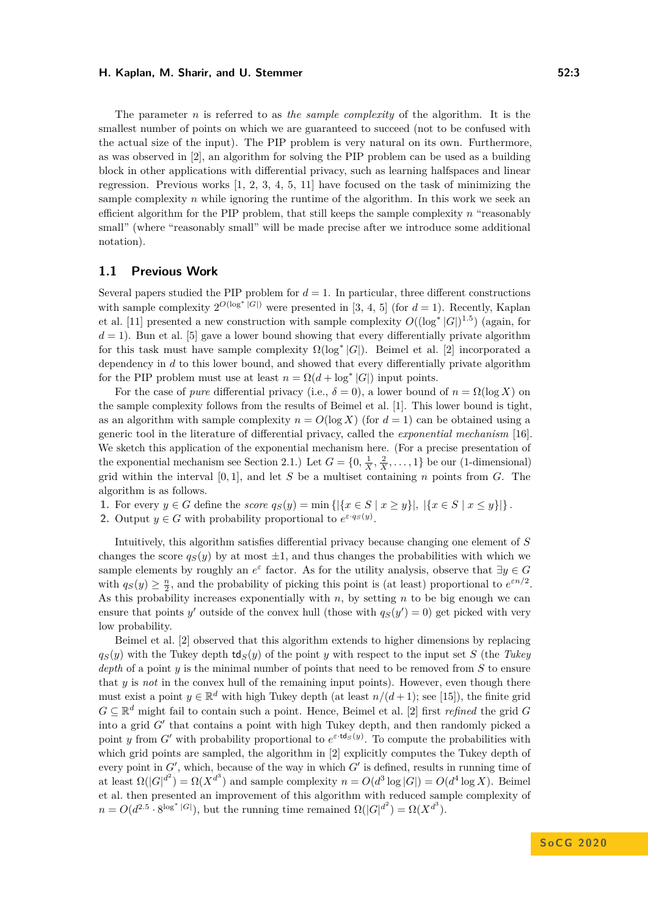The parameter *n* is referred to as *the sample complexity* of the algorithm. It is the smallest number of points on which we are guaranteed to succeed (not to be confused with the actual size of the input). The PIP problem is very natural on its own. Furthermore, as was observed in [\[2\]](#page-13-1), an algorithm for solving the PIP problem can be used as a building block in other applications with differential privacy, such as learning halfspaces and linear regression. Previous works  $\begin{bmatrix} 1, 2, 3, 4, 5, 11 \end{bmatrix}$  $\begin{bmatrix} 1, 2, 3, 4, 5, 11 \end{bmatrix}$  $\begin{bmatrix} 1, 2, 3, 4, 5, 11 \end{bmatrix}$  $\begin{bmatrix} 1, 2, 3, 4, 5, 11 \end{bmatrix}$  $\begin{bmatrix} 1, 2, 3, 4, 5, 11 \end{bmatrix}$  $\begin{bmatrix} 1, 2, 3, 4, 5, 11 \end{bmatrix}$  $\begin{bmatrix} 1, 2, 3, 4, 5, 11 \end{bmatrix}$  $\begin{bmatrix} 1, 2, 3, 4, 5, 11 \end{bmatrix}$  $\begin{bmatrix} 1, 2, 3, 4, 5, 11 \end{bmatrix}$  have focused on the task of minimizing the sample complexity *n* while ignoring the runtime of the algorithm. In this work we seek an efficient algorithm for the PIP problem, that still keeps the sample complexity *n* "reasonably small" (where "reasonably small" will be made precise after we introduce some additional notation).

# **1.1 Previous Work**

Several papers studied the PIP problem for  $d = 1$ . In particular, three different constructions with sample complexity  $2^{O(\log^* |G|)}$  were presented in [\[3,](#page-13-2) [4,](#page-13-3) [5\]](#page-13-4) (for  $d = 1$ ). Recently, Kaplan et al. [\[11\]](#page-14-0) presented a new construction with sample complexity  $O((\log^* |G|)^{1.5})$  (again, for  $d = 1$ ). Bun et al. [\[5\]](#page-13-4) gave a lower bound showing that every differentially private algorithm for this task must have sample complexity  $\Omega(\log^* |G|)$ . Beimel et al. [\[2\]](#page-13-1) incorporated a dependency in *d* to this lower bound, and showed that every differentially private algorithm for the PIP problem must use at least  $n = \Omega(d + \log^* |G|)$  input points.

For the case of *pure* differential privacy (i.e.,  $\delta = 0$ ), a lower bound of  $n = \Omega(\log X)$  on the sample complexity follows from the results of Beimel et al. [\[1\]](#page-13-0). This lower bound is tight, as an algorithm with sample complexity  $n = O(\log X)$  (for  $d = 1$ ) can be obtained using a generic tool in the literature of differential privacy, called the *exponential mechanism* [\[16\]](#page-14-3). We sketch this application of the exponential mechanism here. (For a precise presentation of the exponential mechanism see Section [2.1.](#page-4-0)) Let  $G = \{0, \frac{1}{X}, \frac{2}{X}, \dots, 1\}$  be our (1-dimensional) grid within the interval  $[0,1]$ , and let *S* be a multiset containing *n* points from *G*. The algorithm is as follows.

**1.** For every  $y \in G$  define the *score*  $q_S(y) = \min \{ |\{x \in S \mid x \geq y\}|, |\{x \in S \mid x \leq y\}| \}.$ 

**2.** Output  $y \in G$  with probability proportional to  $e^{\varepsilon \cdot q_s(y)}$ .

Intuitively, this algorithm satisfies differential privacy because changing one element of *S* changes the score  $q_S(y)$  by at most  $\pm 1$ , and thus changes the probabilities with which we sample elements by roughly an  $e^{\varepsilon}$  factor. As for the utility analysis, observe that  $\exists y \in G$ with  $q_S(y) \geq \frac{n}{2}$ , and the probability of picking this point is (at least) proportional to  $e^{\varepsilon n/2}$ . As this probability increases exponentially with *n*, by setting *n* to be big enough we can ensure that points *y'* outside of the convex hull (those with  $q_S(y') = 0$ ) get picked with very low probability.

Beimel et al. [\[2\]](#page-13-1) observed that this algorithm extends to higher dimensions by replacing  $q_S(y)$  with the Tukey depth  $td_S(y)$  of the point *y* with respect to the input set *S* (the *Tukey depth* of a point *y* is the minimal number of points that need to be removed from *S* to ensure that *y* is *not* in the convex hull of the remaining input points). However, even though there must exist a point  $y \in \mathbb{R}^d$  with high Tukey depth (at least  $n/(d+1)$ ; see [\[15\]](#page-14-4)), the finite grid  $G \subseteq \mathbb{R}^d$  might fail to contain such a point. Hence, Beimel et al. [\[2\]](#page-13-1) first *refined* the grid G into a grid  $G'$  that contains a point with high Tukey depth, and then randomly picked a point *y* from *G*<sup> $\prime$ </sup> with probability proportional to  $e^{\varepsilon \cdot \mathbf{td}_S(y)}$ . To compute the probabilities with which grid points are sampled, the algorithm in [\[2\]](#page-13-1) explicitly computes the Tukey depth of every point in  $G'$ , which, because of the way in which  $G'$  is defined, results in running time of at least  $\Omega(|G|^{d^2}) = \Omega(X^{d^3})$  and sample complexity  $n = O(d^3 \log |G|) = O(d^4 \log X)$ . Beimel et al. then presented an improvement of this algorithm with reduced sample complexity of  $n = O(d^{2.5} \cdot 8^{\log^* |G|})$ , but the running time remained  $\Omega(|G|^{d^2}) = \Omega(X^{d^3})$ .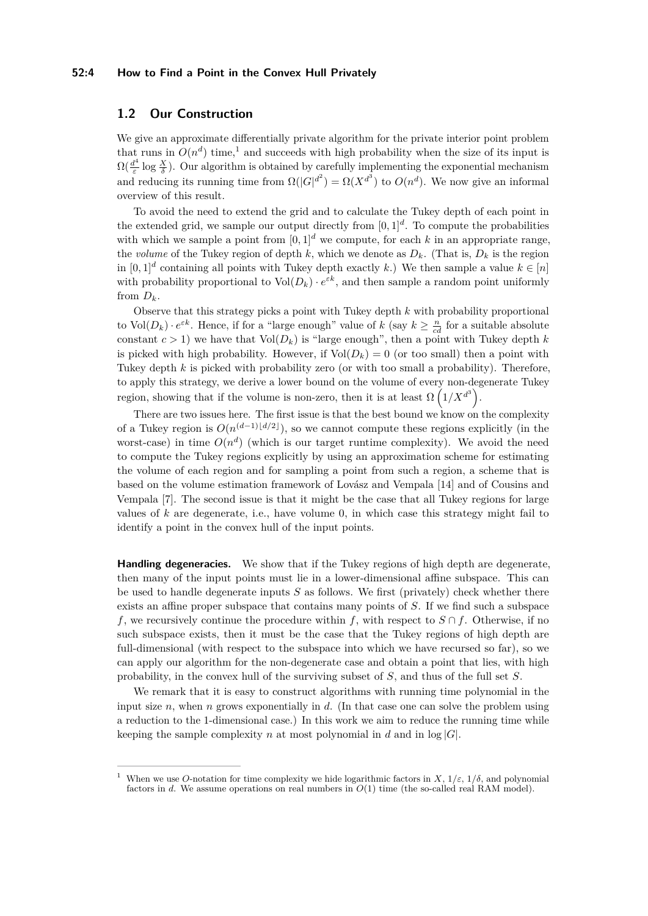#### **52:4 How to Find a Point in the Convex Hull Privately**

# **1.2 Our Construction**

We give an approximate differentially private algorithm for the private interior point problem that runs in  $O(n^d)$  time,<sup>[1](#page-3-0)</sup> and succeeds with high probability when the size of its input is  $\Omega(\frac{d^4}{\varepsilon})$  $\frac{d^4}{\varepsilon}$  log  $\frac{X}{\delta}$ ). Our algorithm is obtained by carefully implementing the exponential mechanism and reducing its running time from  $\Omega(|G|^{d^2}) = \Omega(X^{d^3})$  to  $O(n^d)$ . We now give an informal overview of this result.

To avoid the need to extend the grid and to calculate the Tukey depth of each point in the extended grid, we sample our output directly from  $[0,1]^d$ . To compute the probabilities with which we sample a point from  $[0,1]^d$  we compute, for each k in an appropriate range, the *volume* of the Tukey region of depth  $k$ , which we denote as  $D_k$ . (That is,  $D_k$  is the region in  $[0,1]^d$  containing all points with Tukey depth exactly *k*.) We then sample a value  $k \in [n]$ with probability proportional to  $Vol(D_k) \cdot e^{\varepsilon k}$ , and then sample a random point uniformly from  $D_k$ .

Observe that this strategy picks a point with Tukey depth *k* with probability proportional to  $\text{Vol}(D_k) \cdot e^{\varepsilon k}$ . Hence, if for a "large enough" value of  $k$  (say  $k \geq \frac{n}{cd}$  for a suitable absolute constant  $c > 1$ ) we have that  $Vol(D_k)$  is "large enough", then a point with Tukey depth k is picked with high probability. However, if  $Vol(D_k) = 0$  (or too small) then a point with Tukey depth *k* is picked with probability zero (or with too small a probability). Therefore, to apply this strategy, we derive a lower bound on the volume of every non-degenerate Tukey region, showing that if the volume is non-zero, then it is at least  $\Omega\left(1/X^{d^3}\right)$ .

There are two issues here. The first issue is that the best bound we know on the complexity of a Tukey region is  $O(n^{(d-1)\lfloor d/2 \rfloor})$ , so we cannot compute these regions explicitly (in the worst-case) in time  $O(n^d)$  (which is our target runtime complexity). We avoid the need to compute the Tukey regions explicitly by using an approximation scheme for estimating the volume of each region and for sampling a point from such a region, a scheme that is based on the volume estimation framework of Lovász and Vempala [\[14\]](#page-14-1) and of Cousins and Vempala [\[7\]](#page-13-5). The second issue is that it might be the case that all Tukey regions for large values of *k* are degenerate, i.e., have volume 0, in which case this strategy might fail to identify a point in the convex hull of the input points.

**Handling degeneracies.** We show that if the Tukey regions of high depth are degenerate, then many of the input points must lie in a lower-dimensional affine subspace. This can be used to handle degenerate inputs *S* as follows. We first (privately) check whether there exists an affine proper subspace that contains many points of *S*. If we find such a subspace *f*, we recursively continue the procedure within *f*, with respect to  $S \cap f$ . Otherwise, if no such subspace exists, then it must be the case that the Tukey regions of high depth are full-dimensional (with respect to the subspace into which we have recursed so far), so we can apply our algorithm for the non-degenerate case and obtain a point that lies, with high probability, in the convex hull of the surviving subset of *S*, and thus of the full set *S*.

We remark that it is easy to construct algorithms with running time polynomial in the input size *n*, when *n* grows exponentially in *d*. (In that case one can solve the problem using a reduction to the 1-dimensional case.) In this work we aim to reduce the running time while keeping the sample complexity *n* at most polynomial in *d* and in  $log |G|$ .

<span id="page-3-0"></span>When we use *O*-notation for time complexity we hide logarithmic factors in  $X$ ,  $1/\varepsilon$ ,  $1/\delta$ , and polynomial factors in *d*. We assume operations on real numbers in *O*(1) time (the so-called real RAM model).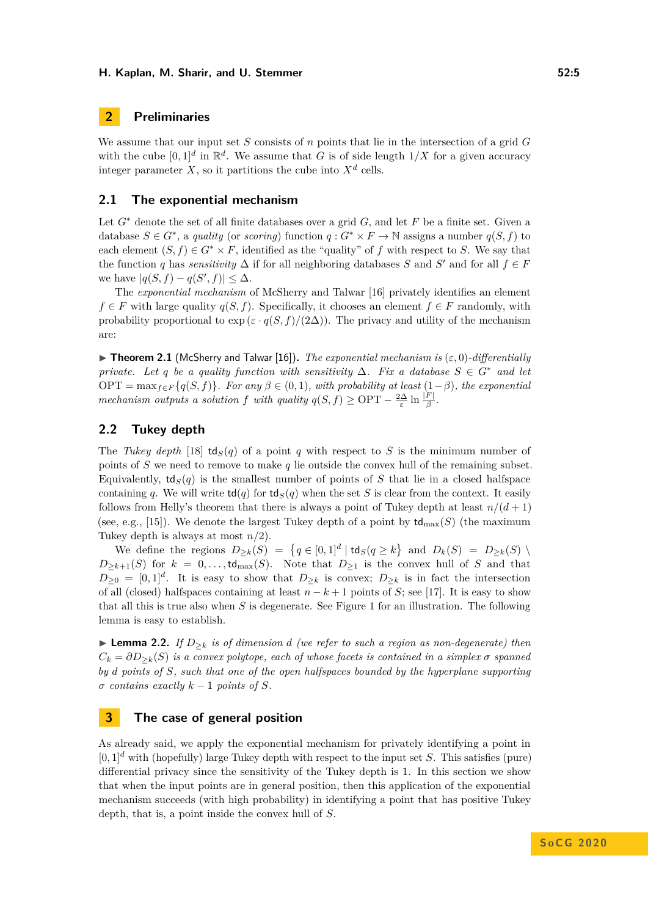# **2 Preliminaries**

We assume that our input set *S* consists of *n* points that lie in the intersection of a grid *G* with the cube  $[0,1]^d$  in  $\mathbb{R}^d$ . We assume that *G* is of side length  $1/X$  for a given accuracy integer parameter X, so it partitions the cube into  $X^d$  cells.

# <span id="page-4-0"></span>**2.1 The exponential mechanism**

Let *G*<sup>∗</sup> denote the set of all finite databases over a grid *G*, and let *F* be a finite set. Given a database  $S \in G^*$ , a *quality* (or *scoring*) function  $q: G^* \times F \to \mathbb{N}$  assigns a number  $q(S, f)$  to each element  $(S, f) \in G^* \times F$ , identified as the "quality" of f with respect to S. We say that the function *q* has *sensitivity*  $\Delta$  if for all neighboring databases *S* and *S*<sup>'</sup> and for all  $f \in F$ we have  $|q(S, f) - q(S', f)| \leq \Delta$ .

The *exponential mechanism* of McSherry and Talwar [\[16\]](#page-14-3) privately identifies an element *f* ∈ *F* with large quality  $q(S, f)$ . Specifically, it chooses an element  $f \in F$  randomly, with probability proportional to  $\exp(\varepsilon \cdot q(S, f)/(2\Delta))$ . The privacy and utility of the mechanism are:

<span id="page-4-2"></span> $\blacktriangleright$  **Theorem 2.1** (McSherry and Talwar [\[16\]](#page-14-3)). *The exponential mechanism is*  $(\varepsilon, 0)$ *-differentially private. Let q be a quality function with sensitivity*  $\Delta$ *. Fix a database*  $S \in G^*$  *and let*  $OPT = \max_{f \in F} \{q(S, f)\}\$ . For any  $\beta \in (0, 1)$ *, with probability at least*  $(1 - \beta)$ *, the exponential mechanism outputs a solution f with quality*  $q(S, f) \geq \text{OPT} - \frac{2\Delta}{\varepsilon} \ln \frac{|F|}{\beta}$ .

# **2.2 Tukey depth**

The *Tukey depth* [\[18\]](#page-14-5)  $td_S(q)$  of a point *q* with respect to *S* is the minimum number of points of *S* we need to remove to make *q* lie outside the convex hull of the remaining subset. Equivalently,  $td_S(q)$  is the smallest number of points of *S* that lie in a closed halfspace containing *q*. We will write  $td(q)$  for  $td_S(q)$  when the set *S* is clear from the context. It easily follows from Helly's theorem that there is always a point of Tukey depth at least  $n/(d+1)$ (see, e.g., [\[15\]](#page-14-4)). We denote the largest Tukey depth of a point by  $td_{\text{max}}(S)$  (the maximum Tukey depth is always at most *n/*2).

We define the regions  $D_{\geq k}(S) = \{q \in [0,1]^d | \text{td}_S(q \geq k\} \text{ and } D_k(S) = D_{\geq k}(S) \setminus D_k(q)$  $D_{\geq k+1}(S)$  for  $k = 0, \ldots, \text{td}_{\text{max}}(S)$ . Note that  $D_{\geq 1}$  is the convex hull of *S* and that  $D_{\geq 0} = [0, 1]^d$ . It is easy to show that  $D_{\geq k}$  is convex;  $D_{\geq k}$  is in fact the intersection of all (closed) halfspaces containing at least  $n - k + 1$  points of *S*; see [\[17\]](#page-14-6). It is easy to show that all this is true also when *S* is degenerate. See Figure [1](#page-5-0) for an illustration. The following lemma is easy to establish.

<span id="page-4-1"></span>► **Lemma 2.2.** *If*  $D_{\geq k}$  *is of dimension d (we refer to such a region as non-degenerate) then*  $C_k = \partial D_{\geq k}(S)$  *is a convex polytope, each of whose facets is contained in a simplex*  $\sigma$  *spanned by d points of S, such that one of the open halfspaces bounded by the hyperplane supporting*  $\sigma$  *contains exactly*  $k-1$  *points of*  $S$ *.* 

# <span id="page-4-3"></span>**3 The case of general position**

As already said, we apply the exponential mechanism for privately identifying a point in  $[0,1]^d$  with (hopefully) large Tukey depth with respect to the input set *S*. This satisfies (pure) differential privacy since the sensitivity of the Tukey depth is 1. In this section we show that when the input points are in general position, then this application of the exponential mechanism succeeds (with high probability) in identifying a point that has positive Tukey depth, that is, a point inside the convex hull of *S*.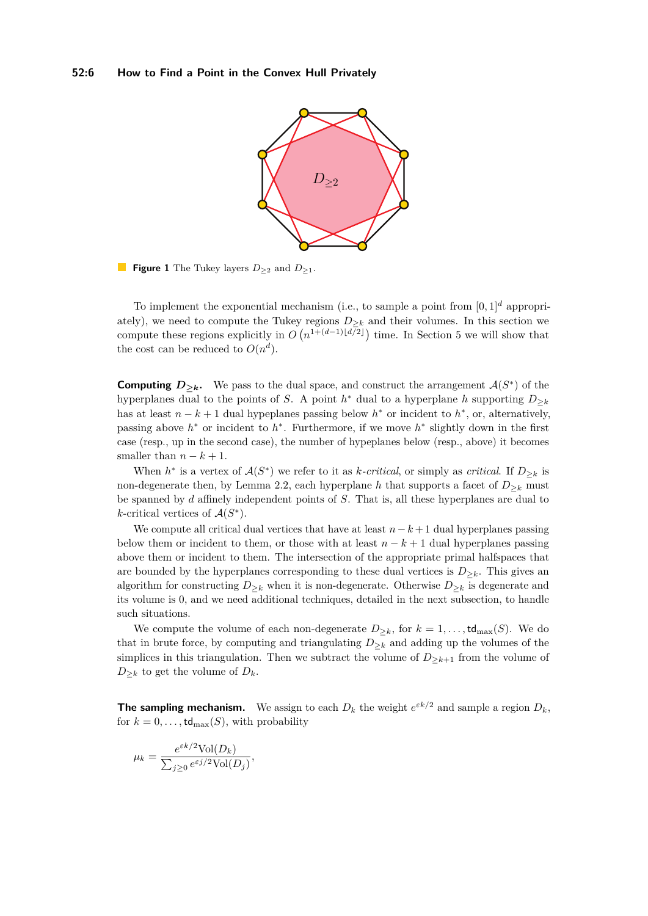<span id="page-5-0"></span>

**Figure 1** The Tukey layers *D*<sup>≥</sup><sup>2</sup> and *D*<sup>≥</sup>1.

To implement the exponential mechanism (i.e., to sample a point from  $[0,1]^d$  appropriately), we need to compute the Tukey regions  $D_{\geq k}$  and their volumes. In this section we compute these regions explicitly in  $O(n^{1+(d-1)\lfloor d/2 \rfloor})$  time. In Section [5](#page-12-0) we will show that the cost can be reduced to  $O(n^d)$ .

**Computing**  $D_{\geq k}$ . We pass to the dual space, and construct the arrangement  $\mathcal{A}(S^*)$  of the hyperplanes dual to the points of *S*. A point  $h^*$  dual to a hyperplane *h* supporting  $D_{\geq k}$ has at least  $n - k + 1$  dual hypeplanes passing below  $h^*$  or incident to  $h^*$ , or, alternatively, passing above  $h^*$  or incident to  $h^*$ . Furthermore, if we move  $h^*$  slightly down in the first case (resp., up in the second case), the number of hypeplanes below (resp., above) it becomes smaller than  $n - k + 1$ .

When  $h^*$  is a vertex of  $\mathcal{A}(S^*)$  we refer to it as *k-critical*, or simply as *critical*. If  $D_{\geq k}$  is non-degenerate then, by Lemma [2.2,](#page-4-1) each hyperplane *h* that supports a facet of  $D_{\geq k}$  must be spanned by *d* affinely independent points of *S*. That is, all these hyperplanes are dual to  $k$ -critical vertices of  $\mathcal{A}(S^*)$ .

We compute all critical dual vertices that have at least  $n-k+1$  dual hyperplanes passing below them or incident to them, or those with at least  $n - k + 1$  dual hyperplanes passing above them or incident to them. The intersection of the appropriate primal halfspaces that are bounded by the hyperplanes corresponding to these dual vertices is  $D_{\geq k}$ . This gives an algorithm for constructing  $D_{\geq k}$  when it is non-degenerate. Otherwise  $D_{\geq k}$  is degenerate and its volume is 0, and we need additional techniques, detailed in the next subsection, to handle such situations.

We compute the volume of each non-degenerate  $D_{\geq k}$ , for  $k = 1, \ldots, \text{td}_{\text{max}}(S)$ . We do that in brute force, by computing and triangulating  $D_{\geq k}$  and adding up the volumes of the simplices in this triangulation. Then we subtract the volume of  $D_{\geq k+1}$  from the volume of  $D_{\geq k}$  to get the volume of  $D_k$ .

**The sampling mechanism.** We assign to each  $D_k$  the weight  $e^{\varepsilon k/2}$  and sample a region  $D_k$ , for  $k = 0, \ldots, \text{td}_{\text{max}}(S)$ , with probability

$$
\mu_k = \frac{e^{\varepsilon k/2} \text{Vol}(D_k)}{\sum_{j \ge 0} e^{\varepsilon j/2} \text{Vol}(D_j)},
$$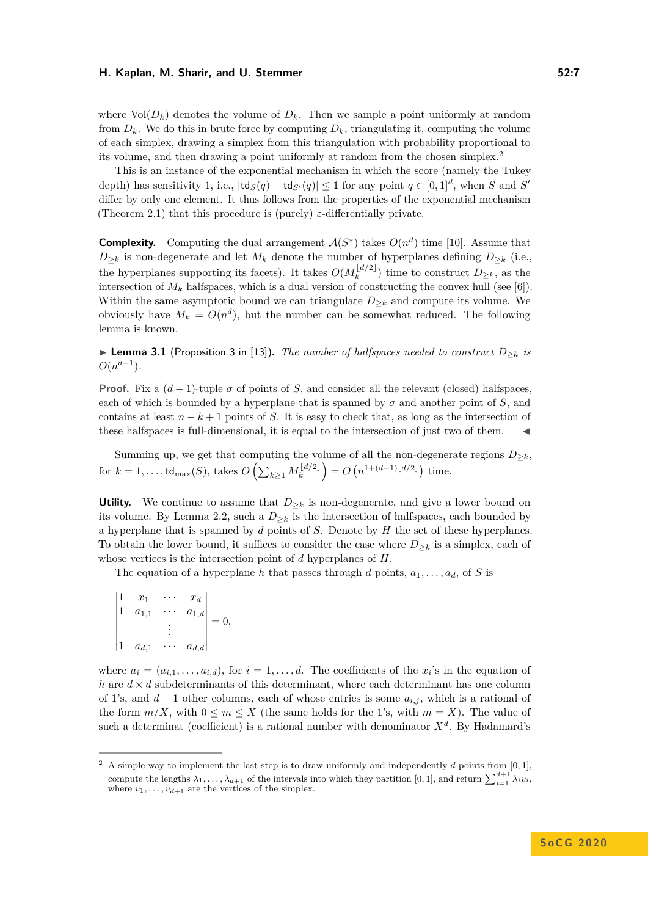where  $Vol(D_k)$  denotes the volume of  $D_k$ . Then we sample a point uniformly at random from  $D_k$ . We do this in brute force by computing  $D_k$ , triangulating it, computing the volume of each simplex, drawing a simplex from this triangulation with probability proportional to its volume, and then drawing a point uniformly at random from the chosen simplex.[2](#page-6-0)

This is an instance of the exponential mechanism in which the score (namely the Tukey depth) has sensitivity 1, i.e.,  $|\text{td}_S(q) - \text{td}_{S'}(q)| \leq 1$  for any point  $q \in [0,1]^d$ , when *S* and *S'* differ by only one element. It thus follows from the properties of the exponential mechanism (Theorem [2.1\)](#page-4-2) that this procedure is (purely)  $\varepsilon$ -differentially private.

**Complexity.** Computing the dual arrangement  $\mathcal{A}(S^*)$  takes  $O(n^d)$  time [\[10\]](#page-14-7). Assume that  $D_{\geq k}$  is non-degenerate and let  $M_k$  denote the number of hyperplanes defining  $D_{\geq k}$  (i.e., the hyperplanes supporting its facets). It takes  $O(M_k^{\lfloor d/2 \rfloor})$  $\binom{[a/2]}{k}$  time to construct  $D_{\geq k}$ , as the intersection of  $M_k$  halfspaces, which is a dual version of constructing the convex hull (see [\[6\]](#page-13-7)). Within the same asymptotic bound we can triangulate  $D_{\geq k}$  and compute its volume. We obviously have  $M_k = O(n^d)$ , but the number can be somewhat reduced. The following lemma is known.

I **Lemma 3.1** (Proposition 3 in [\[13\]](#page-14-8))**.** *The number of halfspaces needed to construct D*≥*<sup>k</sup> is*  $O(n^{d-1})$ .

**Proof.** Fix a  $(d-1)$ -tuple  $\sigma$  of points of *S*, and consider all the relevant (closed) halfspaces, each of which is bounded by a hyperplane that is spanned by  $\sigma$  and another point of *S*, and contains at least  $n - k + 1$  points of *S*. It is easy to check that, as long as the intersection of these halfspaces is full-dimensional, it is equal to the intersection of just two of them. J

Summing up, we get that computing the volume of all the non-degenerate regions  $D_{\geq k}$ ,  $\text{for } k = 1, \ldots, \mathsf{td}_{\max}(S), \text{ takes } O\left(\sum_{k\geq 1} M_k^{\lfloor d/2 \rfloor}\right)$  $\binom{[d/2]}{k} = O(n^{1+(d-1)\lfloor d/2 \rfloor})$  time.

**Utility.** We continue to assume that  $D_{\geq k}$  is non-degenerate, and give a lower bound on its volume. By Lemma [2.2,](#page-4-1) such a  $D_{\geq k}$  is the intersection of halfspaces, each bounded by a hyperplane that is spanned by *d* points of *S*. Denote by *H* the set of these hyperplanes. To obtain the lower bound, it suffices to consider the case where  $D_{\geq k}$  is a simplex, each of whose vertices is the intersection point of *d* hyperplanes of *H*.

The equation of a hyperplane *h* that passes through *d* points,  $a_1, \ldots, a_d$ , of *S* is

$$
\begin{vmatrix} 1 & x_1 & \cdots & x_d \\ 1 & a_{1,1} & \cdots & a_{1,d} \\ & & \vdots & \\ 1 & a_{d,1} & \cdots & a_{d,d} \end{vmatrix} = 0,
$$

where  $a_i = (a_{i,1}, \ldots, a_{i,d})$ , for  $i = 1, \ldots, d$ . The coefficients of the  $x_i$ 's in the equation of *h* are  $d \times d$  subdeterminants of this determinant, where each determinant has one column of 1's, and *d* − 1 other columns, each of whose entries is some *ai,j* , which is a rational of the form  $m/X$ , with  $0 \le m \le X$  (the same holds for the 1's, with  $m = X$ ). The value of such a determinat (coefficient) is a rational number with denominator  $X<sup>d</sup>$ . By Hadamard's

<span id="page-6-0"></span><sup>&</sup>lt;sup>2</sup> A simple way to implement the last step is to draw uniformly and independently  $d$  points from  $[0, 1]$ , compute the lengths  $\lambda_1, \ldots, \lambda_{d+1}$  of the intervals into which they partition [0, 1], and return  $\sum_{i=1}^{d+1} \lambda_i v_i$ , where  $v_1, \ldots, v_{d+1}$  are the vertices of the simplex.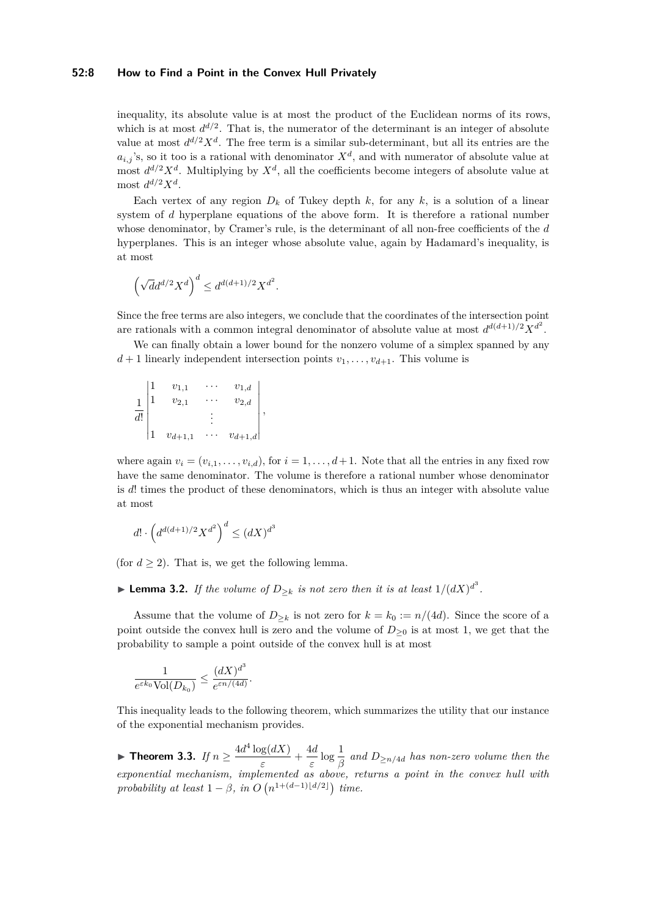## **52:8 How to Find a Point in the Convex Hull Privately**

inequality, its absolute value is at most the product of the Euclidean norms of its rows, which is at most  $d^{d/2}$ . That is, the numerator of the determinant is an integer of absolute value at most  $d^{d/2}X^d$ . The free term is a similar sub-determinant, but all its entries are the  $a_{i,j}$ 's, so it too is a rational with denominator  $X^d$ , and with numerator of absolute value at most  $d^{d/2}X^d$ . Multiplying by  $X^d$ , all the coefficients become integers of absolute value at most  $d^{d/2}X^d$ .

Each vertex of any region  $D_k$  of Tukey depth  $k$ , for any  $k$ , is a solution of a linear system of *d* hyperplane equations of the above form. It is therefore a rational number whose denominator, by Cramer's rule, is the determinant of all non-free coefficients of the *d* hyperplanes. This is an integer whose absolute value, again by Hadamard's inequality, is at most

$$
\left(\sqrt{d}d^{d/2}X^d\right)^d\leq d^{d(d+1)/2}X^{d^2}.
$$

Since the free terms are also integers, we conclude that the coordinates of the intersection point are rationals with a common integral denominator of absolute value at most  $d^{d(d+1)/2}X^{d^2}$ .

We can finally obtain a lower bound for the nonzero volume of a simplex spanned by any  $d+1$  linearly independent intersection points  $v_1, \ldots, v_{d+1}$ . This volume is

$$
\frac{1}{d!} \begin{vmatrix} 1 & v_{1,1} & \cdots & v_{1,d} \\ 1 & v_{2,1} & \cdots & v_{2,d} \\ & & \vdots & \\ 1 & v_{d+1,1} & \cdots & v_{d+1,d} \end{vmatrix},
$$

where again  $v_i = (v_{i,1}, \ldots, v_{i,d})$ , for  $i = 1, \ldots, d+1$ . Note that all the entries in any fixed row have the same denominator. The volume is therefore a rational number whose denominator is *d*! times the product of these denominators, which is thus an integer with absolute value at most

$$
d! \cdot \left( d^{d(d+1)/2} X^{d^2} \right)^d \le (dX)^{d^3}
$$

(for  $d \geq 2$ ). That is, we get the following lemma.

# ▶ Lemma 3.2. If the volume of  $D_{\geq k}$  is not zero then it is at least  $1/(dX)^{d^3}$ .

Assume that the volume of  $D_{\geq k}$  is not zero for  $k = k_0 := n/(4d)$ . Since the score of a point outside the convex hull is zero and the volume of  $D_{\geq 0}$  is at most 1, we get that the probability to sample a point outside of the convex hull is at most

$$
\frac{1}{e^{\varepsilon k_0}\text{Vol}(D_{k_0})}\leq \frac{(dX)^{d^3}}{e^{\varepsilon n/(4d)}}.
$$

This inequality leads to the following theorem, which summarizes the utility that our instance of the exponential mechanism provides.

▶ Theorem 3.3. *If*  $n \geq \frac{4d^4 \log(dX)}{4}$  $\frac{\log(dX)}{\varepsilon} + \frac{4d}{\varepsilon}$  $\frac{4d}{\varepsilon} \log \frac{1}{\beta}$  and  $D_{\ge n/4d}$  has non-zero volume then the *exponential mechanism, implemented as above, returns a point in the convex hull with probability at least*  $1 - \beta$ *, in*  $O(n^{1+(d-1)\lfloor d/2 \rfloor})$  *time.*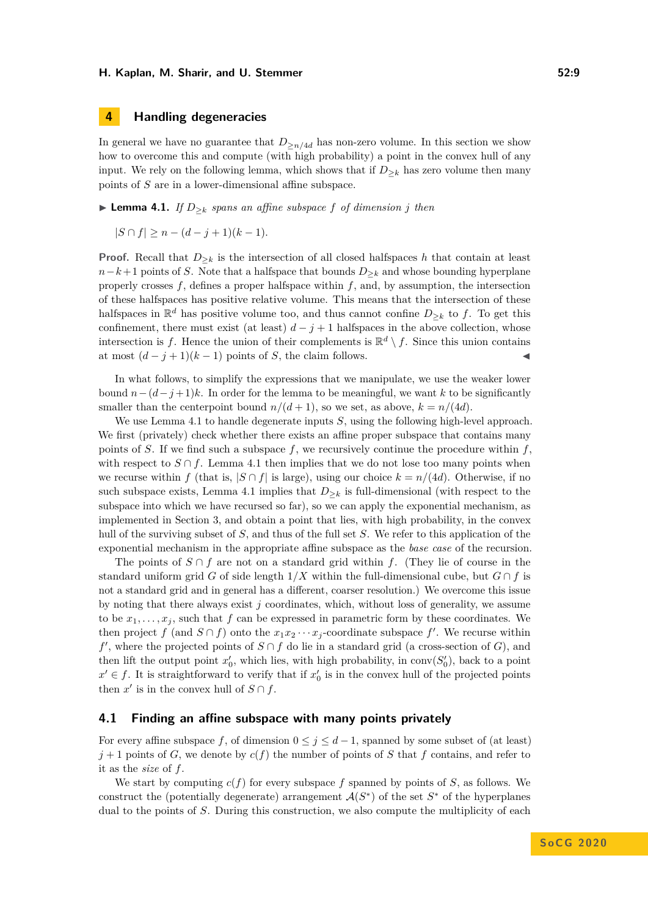# **4 Handling degeneracies**

In general we have no guarantee that  $D_{\geq n/4d}$  has non-zero volume. In this section we show how to overcome this and compute (with high probability) a point in the convex hull of any input. We rely on the following lemma, which shows that if  $D_{\geq k}$  has zero volume then many points of *S* are in a lower-dimensional affine subspace.

<span id="page-8-0"></span>▶ **Lemma 4.1.** *If*  $D_{\geq k}$  *spans an affine subspace f of dimension j then* 

 $|S \cap f| > n - (d - j + 1)(k - 1)$ .

**Proof.** Recall that  $D_{\geq k}$  is the intersection of all closed halfspaces *h* that contain at least  $n-k+1$  points of *S*. Note that a halfspace that bounds  $D_{\geq k}$  and whose bounding hyperplane properly crosses  $f$ , defines a proper halfspace within  $f$ , and, by assumption, the intersection of these halfspaces has positive relative volume. This means that the intersection of these halfspaces in  $\mathbb{R}^d$  has positive volume too, and thus cannot confine  $D_{\geq k}$  to f. To get this confinement, there must exist (at least)  $d - j + 1$  halfspaces in the above collection, whose intersection is f. Hence the union of their complements is  $\mathbb{R}^d \setminus f$ . Since this union contains at most  $(d-j+1)(k-1)$  points of *S*, the claim follows.

In what follows, to simplify the expressions that we manipulate, we use the weaker lower bound  $n-(d-j+1)k$ . In order for the lemma to be meaningful, we want k to be significantly smaller than the centerpoint bound  $n/(d+1)$ , so we set, as above,  $k = n/(4d)$ .

We use Lemma [4.1](#page-8-0) to handle degenerate inputs *S*, using the following high-level approach. We first (privately) check whether there exists an affine proper subspace that contains many points of *S*. If we find such a subspace  $f$ , we recursively continue the procedure within  $f$ , with respect to  $S \cap f$ . Lemma [4.1](#page-8-0) then implies that we do not lose too many points when we recurse within *f* (that is,  $|S \cap f|$  is large), using our choice  $k = n/(4d)$ . Otherwise, if no such subspace exists, Lemma [4.1](#page-8-0) implies that  $D_{\geq k}$  is full-dimensional (with respect to the subspace into which we have recursed so far), so we can apply the exponential mechanism, as implemented in Section [3,](#page-4-3) and obtain a point that lies, with high probability, in the convex hull of the surviving subset of *S*, and thus of the full set *S*. We refer to this application of the exponential mechanism in the appropriate affine subspace as the *base case* of the recursion.

The points of *S* ∩ *f* are not on a standard grid within *f*. (They lie of course in the standard uniform grid *G* of side length  $1/X$  within the full-dimensional cube, but  $G \cap f$  is not a standard grid and in general has a different, coarser resolution.) We overcome this issue by noting that there always exist *j* coordinates, which, without loss of generality, we assume to be  $x_1, \ldots, x_j$ , such that  $f$  can be expressed in parametric form by these coordinates. We then project *f* (and  $S \cap f$ ) onto the  $x_1 x_2 \cdots x_j$ -coordinate subspace *f'*. We recurse within  $f'$ , where the projected points of  $S \cap f$  do lie in a standard grid (a cross-section of *G*), and then lift the output point  $x'_{0}$ , which lies, with high probability, in conv $(S'_{0})$ , back to a point  $x' \in f$ . It is straightforward to verify that if  $x'_0$  is in the convex hull of the projected points then  $x'$  is in the convex hull of  $S \cap f$ .

## **4.1 Finding an affine subspace with many points privately**

For every affine subspace f, of dimension  $0 \leq j \leq d-1$ , spanned by some subset of (at least)  $j+1$  points of *G*, we denote by  $c(f)$  the number of points of *S* that *f* contains, and refer to it as the *size* of *f*.

We start by computing  $c(f)$  for every subspace f spanned by points of S, as follows. We construct the (potentially degenerate) arrangement  $\mathcal{A}(S^*)$  of the set  $S^*$  of the hyperplanes dual to the points of *S*. During this construction, we also compute the multiplicity of each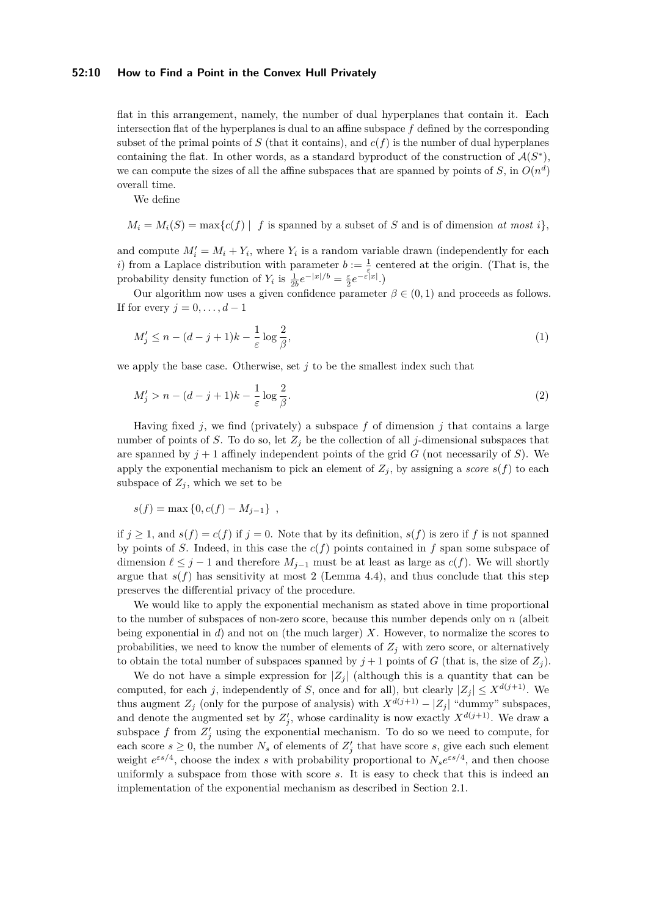#### **52:10 How to Find a Point in the Convex Hull Privately**

flat in this arrangement, namely, the number of dual hyperplanes that contain it. Each intersection flat of the hyperplanes is dual to an affine subspace *f* defined by the corresponding subset of the primal points of  $S$  (that it contains), and  $c(f)$  is the number of dual hyperplanes containing the flat. In other words, as a standard byproduct of the construction of  $\mathcal{A}(S^*)$ , we can compute the sizes of all the affine subspaces that are spanned by points of  $S$ , in  $O(n^d)$ overall time.

We define

 $M_i = M_i(S) = \max\{c(f) \mid f \text{ is spanned by a subset of } S \text{ and is of dimension at most } i\}$ 

and compute  $M'_i = M_i + Y_i$ , where  $Y_i$  is a random variable drawn (independently for each *i*) from a Laplace distribution with parameter  $b := \frac{1}{\epsilon}$  centered at the origin. (That is, the probability density function of  $Y_i$  is  $\frac{1}{2b}e^{-|x|/b} = \frac{\varepsilon}{2}e^{-\varepsilon|x|}$ .)

Our algorithm now uses a given confidence parameter  $\beta \in (0,1)$  and proceeds as follows. If for every  $j = 0, \ldots, d - 1$ 

<span id="page-9-1"></span><span id="page-9-0"></span>
$$
M_j' \le n - (d - j + 1)k - \frac{1}{\varepsilon} \log \frac{2}{\beta},\tag{1}
$$

we apply the base case. Otherwise, set *j* to be the smallest index such that

$$
M_j' > n - (d - j + 1)k - \frac{1}{\varepsilon} \log \frac{2}{\beta}.
$$
\n
$$
(2)
$$

Having fixed *j*, we find (privately) a subspace  $f$  of dimension  $j$  that contains a large number of points of *S*. To do so, let  $Z_j$  be the collection of all *j*-dimensional subspaces that are spanned by  $j + 1$  affinely independent points of the grid *G* (not necessarily of *S*). We apply the exponential mechanism to pick an element of  $Z_j$ , by assigning a *score*  $s(f)$  to each subspace of  $Z_j$ , which we set to be

$$
s(f) = \max\{0, c(f) - M_{j-1}\},\,
$$

if  $j \geq 1$ , and  $s(f) = c(f)$  if  $j = 0$ . Note that by its definition,  $s(f)$  is zero if f is not spanned by points of *S*. Indeed, in this case the *c*(*f*) points contained in *f* span some subspace of dimension  $\ell \leq j - 1$  and therefore  $M_{j-1}$  must be at least as large as *c*(*f*). We will shortly argue that  $s(f)$  has sensitivity at most 2 (Lemma [4.4\)](#page-10-0), and thus conclude that this step preserves the differential privacy of the procedure.

We would like to apply the exponential mechanism as stated above in time proportional to the number of subspaces of non-zero score, because this number depends only on *n* (albeit being exponential in *d*) and not on (the much larger) *X*. However, to normalize the scores to probabilities, we need to know the number of elements of  $Z_j$  with zero score, or alternatively to obtain the total number of subspaces spanned by  $j + 1$  points of *G* (that is, the size of  $Z_i$ ).

We do not have a simple expression for  $|Z_i|$  (although this is a quantity that can be computed, for each *j*, independently of *S*, once and for all), but clearly  $|Z_i| \le X^{d(j+1)}$ . We thus augment  $Z_i$  (only for the purpose of analysis) with  $X^{d(j+1)} - |Z_i|$  "dummy" subspaces, and denote the augmented set by  $Z'_{j}$ , whose cardinality is now exactly  $X^{d(j+1)}$ . We draw a subspace  $f$  from  $Z'_{j}$  using the exponential mechanism. To do so we need to compute, for each score  $s \geq 0$ , the number  $N_s$  of elements of  $Z'_j$  that have score *s*, give each such element weight  $e^{\varepsilon s/4}$ , choose the index *s* with probability proportional to  $N_s e^{\varepsilon s/4}$ , and then choose uniformly a subspace from those with score *s*. It is easy to check that this is indeed an implementation of the exponential mechanism as described in Section [2.1.](#page-4-0)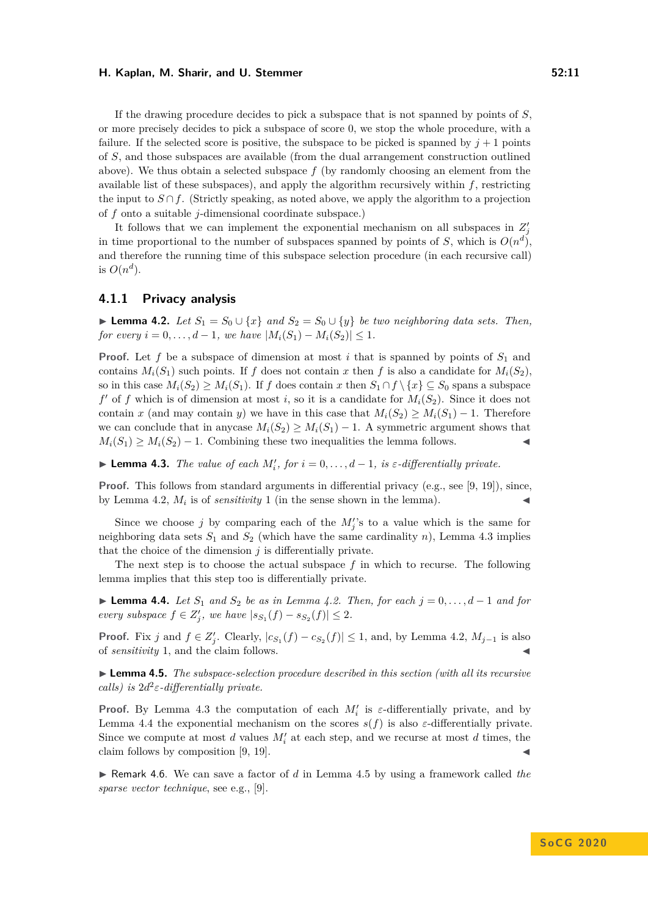If the drawing procedure decides to pick a subspace that is not spanned by points of *S*, or more precisely decides to pick a subspace of score 0, we stop the whole procedure, with a failure. If the selected score is positive, the subspace to be picked is spanned by  $j + 1$  points of *S*, and those subspaces are available (from the dual arrangement construction outlined above). We thus obtain a selected subspace  $f$  (by randomly choosing an element from the available list of these subspaces), and apply the algorithm recursively within *f*, restricting the input to  $S \cap f$ . (Strictly speaking, as noted above, we apply the algorithm to a projection of *f* onto a suitable *j*-dimensional coordinate subspace.)

It follows that we can implement the exponential mechanism on all subspaces in  $Z_j'$ in time proportional to the number of subspaces spanned by points of *S*, which is  $O(n^d)$ , and therefore the running time of this subspace selection procedure (in each recursive call) is  $O(n^d)$ .

## **4.1.1 Privacy analysis**

<span id="page-10-1"></span>► **Lemma 4.2.** *Let*  $S_1 = S_0 \cup \{x\}$  *and*  $S_2 = S_0 \cup \{y\}$  *be two neighboring data sets. Then, for every*  $i = 0, \ldots, d - 1$ *, we have*  $|M_i(S_1) - M_i(S_2)| \leq 1$ *.* 

**Proof.** Let f be a subspace of dimension at most i that is spanned by points of  $S_1$  and contains  $M_i(S_1)$  such points. If *f* does not contain *x* then *f* is also a candidate for  $M_i(S_2)$ , so in this case  $M_i(S_2) \geq M_i(S_1)$ . If *f* does contain *x* then  $S_1 \cap f \setminus \{x\} \subseteq S_0$  spans a subspace  $f'$  of  $f$  which is of dimension at most *i*, so it is a candidate for  $M_i(S_2)$ . Since it does not contain *x* (and may contain *y*) we have in this case that  $M_i(S_2) \geq M_i(S_1) - 1$ . Therefore we can conclude that in any case  $M_i(S_2) \geq M_i(S_1) - 1$ . A symmetric argument shows that  $M_i(S_1) \geq M_i(S_2) - 1$ . Combining these two inequalities the lemma follows.

<span id="page-10-2"></span>**► Lemma 4.3.** *The value of each*  $M'_i$ , for  $i = 0, \ldots, d - 1$ , is  $\varepsilon$ -differentially private.

**Proof.** This follows from standard arguments in differential privacy (e.g., see [\[9,](#page-13-8) [19\]](#page-14-9)), since, by Lemma [4.2,](#page-10-1)  $M_i$  is of *sensitivity* 1 (in the sense shown in the lemma).

Since we choose *j* by comparing each of the  $M_j$ 's to a value which is the same for neighboring data sets  $S_1$  and  $S_2$  (which have the same cardinality *n*), Lemma [4.3](#page-10-2) implies that the choice of the dimension  $j$  is differentially private.

The next step is to choose the actual subspace *f* in which to recurse. The following lemma implies that this step too is differentially private.

<span id="page-10-0"></span> $▶$  **Lemma 4.4.** *Let*  $S_1$  *and*  $S_2$  *be as in Lemma [4.2.](#page-10-1) Then, for each*  $j = 0, \ldots, d - 1$  *and for every subspace*  $f \in Z'_j$ , we have  $|s_{S_1}(f) - s_{S_2}(f)| \leq 2$ .

**Proof.** Fix *j* and  $f \in Z'_j$ . Clearly,  $|c_{S_1}(f) - c_{S_2}(f)| \leq 1$ , and, by Lemma [4.2,](#page-10-1)  $M_{j-1}$  is also of *sensitivity* 1, and the claim follows. J

<span id="page-10-3"></span>**► Lemma 4.5.** *The subspace-selection procedure described in this section (with all its recursive calls)* is  $2d^2\varepsilon$ -differentially private.

**Proof.** By Lemma [4.3](#page-10-2) the computation of each  $M_i'$  is  $\varepsilon$ -differentially private, and by Lemma [4.4](#page-10-0) the exponential mechanism on the scores  $s(f)$  is also  $\varepsilon$ -differentially private. Since we compute at most  $d$  values  $M_i'$  at each step, and we recurse at most  $d$  times, the claim follows by composition  $[9, 19]$  $[9, 19]$ .

► Remark 4.6. We can save a factor of *d* in Lemma [4.5](#page-10-3) by using a framework called *the sparse vector technique*, see e.g., [\[9\]](#page-13-8).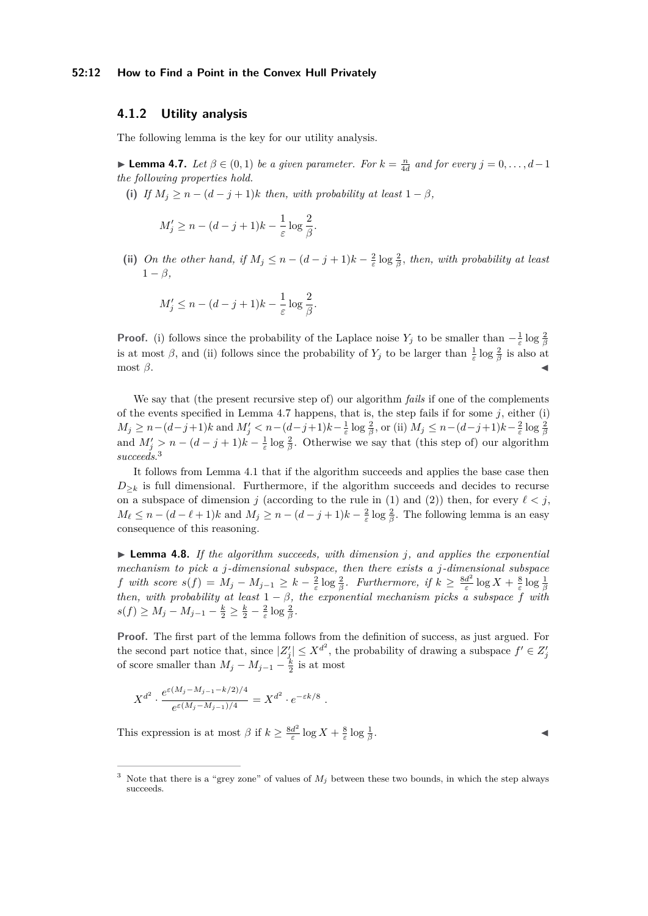# **4.1.2 Utility analysis**

The following lemma is the key for our utility analysis.

<span id="page-11-0"></span>► **Lemma 4.7.** *Let*  $\beta \in (0,1)$  *be a given parameter. For*  $k = \frac{n}{4d}$  *and for every*  $j = 0, \ldots, d-1$ *the following properties hold.*

(i) *If*  $M_i \geq n - (d - j + 1)k$  *then, with probability at least*  $1 - \beta$ *,* 

$$
M'_j \ge n - (d-j+1)k - \frac{1}{\varepsilon} \log \frac{2}{\beta}.
$$

(ii) *On the other hand, if*  $M_j \leq n - (d - j + 1)k - \frac{2}{\varepsilon} \log \frac{2}{\beta}$ , *then, with probability at least*  $1 - \beta$ 

$$
M'_j \le n - (d-j+1)k - \frac{1}{\varepsilon} \log \frac{2}{\beta}.
$$

**Proof.** (i) follows since the probability of the Laplace noise  $Y_j$  to be smaller than  $-\frac{1}{\varepsilon} \log \frac{2}{\beta}$ is at most  $\beta$ , and (ii) follows since the probability of  $Y_j$  to be larger than  $\frac{1}{\varepsilon} \log \frac{2}{\beta}$  is also at  $\text{most } \beta.$ 

We say that (the present recursive step of) our algorithm *fails* if one of the complements of the events specified in Lemma [4.7](#page-11-0) happens, that is, the step fails if for some *j*, either (i)  $M_j \ge n - (d-j+1)k$  and  $M'_j < n - (d-j+1)k - \frac{1}{\varepsilon} \log \frac{2}{\beta}$ , or (ii)  $M_j \le n - (d-j+1)k - \frac{2}{\varepsilon} \log \frac{2}{\beta}$ <br>and  $M'_j > n - (d-j+1)k - \frac{1}{\varepsilon} \log \frac{2}{\beta}$ . Otherwise we say that (this step of) our algorithm *succeeds*. [3](#page-11-1)

It follows from Lemma [4.1](#page-8-0) that if the algorithm succeeds and applies the base case then  $D_{\geq k}$  is full dimensional. Furthermore, if the algorithm succeeds and decides to recurse on a subspace of dimension *j* (according to the rule in [\(1\)](#page-9-0) and [\(2\)](#page-9-1)) then, for every  $\ell < j$ ,  $M_{\ell} \leq n - (d - \ell + 1)k$  and  $M_j \geq n - (d - j + 1)k - \frac{2}{\varepsilon} \log \frac{2}{\beta}$ . The following lemma is an easy consequence of this reasoning.

 $\triangleright$  **Lemma 4.8.** If the algorithm succeeds, with dimension *j*, and applies the exponential *mechanism to pick a j-dimensional subspace, then there exists a j-dimensional subspace f with score*  $s(f) = M_j - M_{j-1} \geq k - \frac{2}{\varepsilon} \log \frac{2}{\beta}$ *. Furthermore, if*  $k \geq \frac{8d^2}{\varepsilon}$ *f* with score  $s(f) = M_j - M_{j-1} \geq k - \frac{2}{\varepsilon} \log \frac{2}{\beta}$ . Furthermore, if  $k \geq \frac{8d^2}{\varepsilon} \log X + \frac{8}{\varepsilon} \log \frac{1}{\beta}$ <br>then, with probability at least  $1 - \beta$ , the exponential mechanism picks a subspace *f* with  $s(f) \ge M_j - M_{j-1} - \frac{k}{2} \ge \frac{k}{2} - \frac{2}{\varepsilon} \log \frac{2}{\beta}.$ 

**Proof.** The first part of the lemma follows from the definition of success, as just argued. For the second part notice that, since  $|Z_j'|\leq X^{d^2}$ , the probability of drawing a subspace  $f'\in Z_j'$ of score smaller than  $M_j - M_{j-1} - \frac{k}{2}$  is at most

$$
X^{d^2} \cdot \frac{e^{\varepsilon (M_j - M_{j-1} - k/2)/4}}{e^{\varepsilon (M_j - M_{j-1})/4}} = X^{d^2} \cdot e^{-\varepsilon k/8}.
$$

This expression is at most  $\beta$  if  $k \geq \frac{8d^2}{5}$  $\frac{d^2}{\varepsilon} \log X + \frac{8}{\varepsilon} \log \frac{1}{\beta}$ 

. John Stein Stein Stein Stein Stein Stein Stein Stein Stein Stein Stein Stein Stein Stein Stein Stein Stein S<br>Die Stein Stein Stein Stein Stein Stein Stein Stein Stein Stein Stein Stein Stein Stein Stein Stein Stein Stei

<span id="page-11-1"></span><sup>&</sup>lt;sup>3</sup> Note that there is a "grey zone" of values of  $M_i$  between these two bounds, in which the step always succeeds.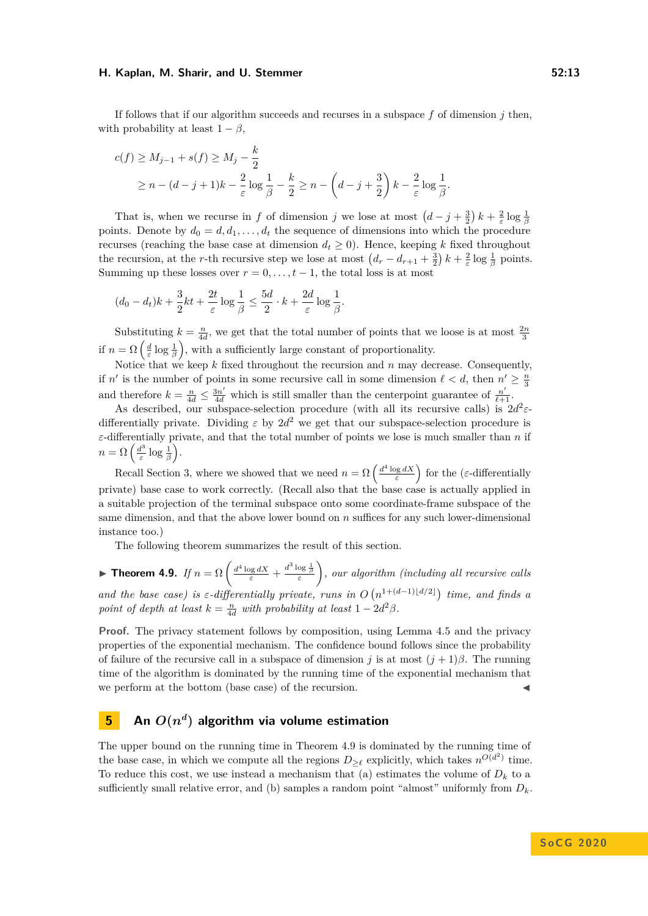If follows that if our algorithm succeeds and recurses in a subspace *f* of dimension *j* then, with probability at least  $1 - \beta$ ,

$$
c(f) \ge M_{j-1} + s(f) \ge M_j - \frac{k}{2}
$$
  
 
$$
\ge n - (d - j + 1)k - \frac{2}{\varepsilon} \log \frac{1}{\beta} - \frac{k}{2} \ge n - \left(d - j + \frac{3}{2}\right)k - \frac{2}{\varepsilon} \log \frac{1}{\beta}.
$$

That is, when we recurse in *f* of dimension *j* we lose at most  $(d-j+\frac{3}{2})k+\frac{2}{\varepsilon}\log\frac{1}{\beta}$ points. Denote by  $d_0 = d, d_1, \ldots, d_t$  the sequence of dimensions into which the procedure recurses (reaching the base case at dimension  $d_t \geq 0$ ). Hence, keeping *k* fixed throughout the recursion, at the *r*-th recursive step we lose at most  $(d_r - d_{r+1} + \frac{3}{2}) k + \frac{2}{\varepsilon} \log \frac{1}{\beta}$  points. Summing up these losses over  $r = 0, \ldots, t-1$ , the total loss is at most

$$
(d_0 - d_t)k + \frac{3}{2}kt + \frac{2t}{\varepsilon}\log\frac{1}{\beta} \le \frac{5d}{2}\cdot k + \frac{2d}{\varepsilon}\log\frac{1}{\beta}.
$$

Substituting  $k = \frac{n}{4d}$ , we get that the total number of points that we loose is at most  $\frac{2n}{3}$ if  $n = \Omega\left(\frac{d}{\varepsilon}\log\frac{1}{\beta}\right)$ , with a sufficiently large constant of proportionality.

Notice that we keep *k* fixed throughout the recursion and *n* may decrease. Consequently, if *n'* is the number of points in some recursive call in some dimension  $\ell < d$ , then  $n' \geq \frac{n}{3}$ and therefore  $k = \frac{n}{4d} \leq \frac{3n'}{4d}$  which is still smaller than the centerpoint guarantee of  $\frac{n'}{\ell+1}$ .

As described, our subspace-selection procedure (with all its recursive calls) is  $2d^2\varepsilon$ differentially private. Dividing  $\varepsilon$  by  $2d^2$  we get that our subspace-selection procedure is *ε*-differentially private, and that the total number of points we lose is much smaller than *n* if  $n = \Omega\left(\frac{d^3}{5}\right)$  $\frac{d^3}{\varepsilon} \log \frac{1}{\beta}$ .

Recall Section [3,](#page-4-3) where we showed that we need  $n = \Omega\left(\frac{d^4 \log dX}{\varepsilon}\right)$  for the (*ε*-differentially private) base case to work correctly. (Recall also that the base case is actually applied in a suitable projection of the terminal subspace onto some coordinate-frame subspace of the same dimension, and that the above lower bound on *n* suffices for any such lower-dimensional instance too.)

The following theorem summarizes the result of this section.

<span id="page-12-1"></span>**Find Theorem 4.9.** *If*  $n = \Omega \left( \frac{d^4 \log dX}{\varepsilon} + \frac{d^3 \log \frac{1}{\beta}}{\varepsilon} \right)$  *, our algorithm (including all recursive calls and the base case) is*  $\varepsilon$ -differentially private, runs in  $O(n^{1+(d-1)\lfloor d/2 \rfloor})$  time, and finds a *point of depth at least*  $k = \frac{n}{4d}$  *with probability at least*  $1 - 2d^2\beta$ *.* 

**Proof.** The privacy statement follows by composition, using Lemma [4.5](#page-10-3) and the privacy properties of the exponential mechanism. The confidence bound follows since the probability of failure of the recursive call in a subspace of dimension *j* is at most  $(j + 1)\beta$ . The running time of the algorithm is dominated by the running time of the exponential mechanism that we perform at the bottom (base case) of the recursion.

# <span id="page-12-0"></span> **An**  $O(n^d)$  **algorithm via volume estimation**

The upper bound on the running time in Theorem [4.9](#page-12-1) is dominated by the running time of the base case, in which we compute all the regions  $D_{\geq \ell}$  explicitly, which takes  $n^{O(d^2)}$  time. To reduce this cost, we use instead a mechanism that (a) estimates the volume of  $D_k$  to a sufficiently small relative error, and (b) samples a random point "almost" uniformly from *Dk*.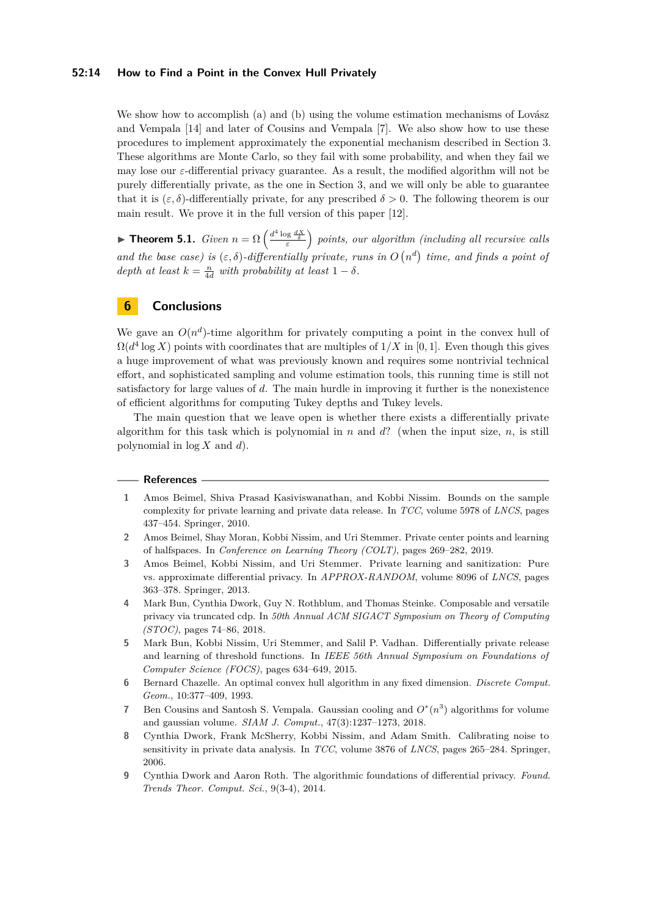#### **52:14 How to Find a Point in the Convex Hull Privately**

We show how to accomplish (a) and (b) using the volume estimation mechanisms of Lovász and Vempala [\[14\]](#page-14-1) and later of Cousins and Vempala [\[7\]](#page-13-5). We also show how to use these procedures to implement approximately the exponential mechanism described in Section [3.](#page-4-3) These algorithms are Monte Carlo, so they fail with some probability, and when they fail we may lose our *ε*-differential privacy guarantee. As a result, the modified algorithm will not be purely differentially private, as the one in Section [3,](#page-4-3) and we will only be able to guarantee that it is  $(\varepsilon, \delta)$ -differentially private, for any prescribed  $\delta > 0$ . The following theorem is our main result. We prove it in the full version of this paper [\[12\]](#page-14-10).

**Findmark 5.1.** *Given*  $n = \Omega\left(\frac{d^4 \log \frac{dX}{\delta}}{\varepsilon}\right)$  points, our algorithm (including all recursive calls) *and the base case) is*  $(\varepsilon, \delta)$ -differentially private, runs in  $O(n^d)$  time, and finds a point of *depth at least*  $k = \frac{n}{4d}$  *with probability at least*  $1 - \delta$ *.* 

# **6 Conclusions**

We gave an  $O(n^d)$ -time algorithm for privately computing a point in the convex hull of  $\Omega(d^4 \log X)$  points with coordinates that are multiples of  $1/X$  in [0, 1]. Even though this gives a huge improvement of what was previously known and requires some nontrivial technical effort, and sophisticated sampling and volume estimation tools, this running time is still not satisfactory for large values of *d*. The main hurdle in improving it further is the nonexistence of efficient algorithms for computing Tukey depths and Tukey levels.

The main question that we leave open is whether there exists a differentially private algorithm for this task which is polynomial in  $n$  and  $d$ ? (when the input size,  $n$ , is still polynomial in log *X* and *d*).

#### **References**

- <span id="page-13-0"></span>**1** Amos Beimel, Shiva Prasad Kasiviswanathan, and Kobbi Nissim. Bounds on the sample complexity for private learning and private data release. In *TCC*, volume 5978 of *LNCS*, pages 437–454. Springer, 2010.
- <span id="page-13-1"></span>**2** Amos Beimel, Shay Moran, Kobbi Nissim, and Uri Stemmer. Private center points and learning of halfspaces. In *Conference on Learning Theory (COLT)*, pages 269–282, 2019.
- <span id="page-13-2"></span>**3** Amos Beimel, Kobbi Nissim, and Uri Stemmer. Private learning and sanitization: Pure vs. approximate differential privacy. In *APPROX-RANDOM*, volume 8096 of *LNCS*, pages 363–378. Springer, 2013.
- <span id="page-13-3"></span>**4** Mark Bun, Cynthia Dwork, Guy N. Rothblum, and Thomas Steinke. Composable and versatile privacy via truncated cdp. In *50th Annual ACM SIGACT Symposium on Theory of Computing (STOC)*, pages 74–86, 2018.
- <span id="page-13-4"></span>**5** Mark Bun, Kobbi Nissim, Uri Stemmer, and Salil P. Vadhan. Differentially private release and learning of threshold functions. In *IEEE 56th Annual Symposium on Foundations of Computer Science (FOCS)*, pages 634–649, 2015.
- <span id="page-13-7"></span>**6** Bernard Chazelle. An optimal convex hull algorithm in any fixed dimension. *Discrete Comput. Geom.*, 10:377–409, 1993.
- <span id="page-13-5"></span>**7** Ben Cousins and Santosh S. Vempala. Gaussian cooling and  $O^*(n^3)$  algorithms for volume and gaussian volume. *SIAM J. Comput.*, 47(3):1237–1273, 2018.
- <span id="page-13-6"></span>**8** Cynthia Dwork, Frank McSherry, Kobbi Nissim, and Adam Smith. Calibrating noise to sensitivity in private data analysis. In *TCC*, volume 3876 of *LNCS*, pages 265–284. Springer, 2006.
- <span id="page-13-8"></span>**9** Cynthia Dwork and Aaron Roth. The algorithmic foundations of differential privacy. *Found. Trends Theor. Comput. Sci.*, 9(3-4), 2014.